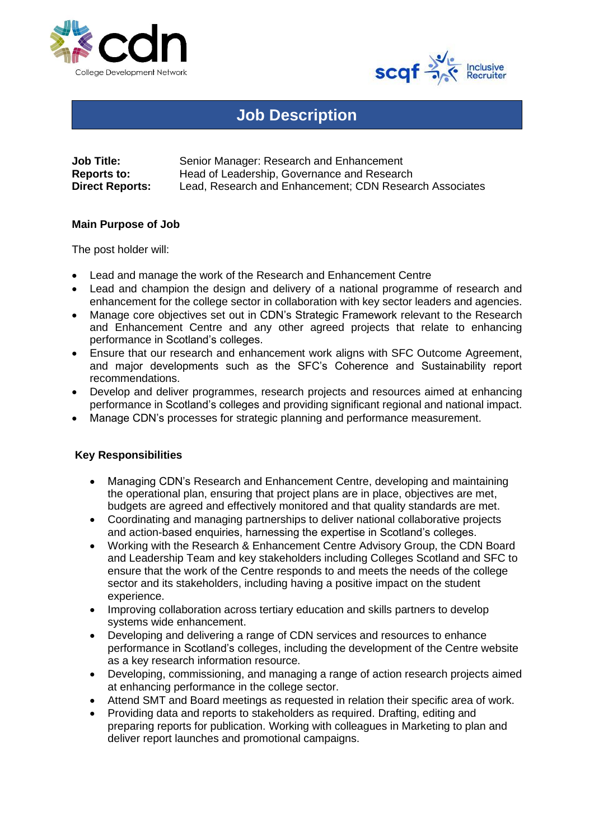



## **Job Description**

| <b>Job Title:</b>      | Senior Manager: Research and Enhancement                |
|------------------------|---------------------------------------------------------|
| <b>Reports to:</b>     | Head of Leadership, Governance and Research             |
| <b>Direct Reports:</b> | Lead, Research and Enhancement; CDN Research Associates |

## **Main Purpose of Job**

The post holder will:

- Lead and manage the work of the Research and Enhancement Centre
- Lead and champion the design and delivery of a national programme of research and enhancement for the college sector in collaboration with key sector leaders and agencies.
- Manage core objectives set out in CDN's Strategic Framework relevant to the Research and Enhancement Centre and any other agreed projects that relate to enhancing performance in Scotland's colleges.
- Ensure that our research and enhancement work aligns with SFC Outcome Agreement, and major developments such as the SFC's Coherence and Sustainability report recommendations.
- Develop and deliver programmes, research projects and resources aimed at enhancing performance in Scotland's colleges and providing significant regional and national impact.
- Manage CDN's processes for strategic planning and performance measurement.

## **Key Responsibilities**

- Managing CDN's Research and Enhancement Centre, developing and maintaining the operational plan, ensuring that project plans are in place, objectives are met, budgets are agreed and effectively monitored and that quality standards are met.
- Coordinating and managing partnerships to deliver national collaborative projects and action-based enquiries, harnessing the expertise in Scotland's colleges.
- Working with the Research & Enhancement Centre Advisory Group, the CDN Board and Leadership Team and key stakeholders including Colleges Scotland and SFC to ensure that the work of the Centre responds to and meets the needs of the college sector and its stakeholders, including having a positive impact on the student experience.
- Improving collaboration across tertiary education and skills partners to develop systems wide enhancement.
- Developing and delivering a range of CDN services and resources to enhance performance in Scotland's colleges, including the development of the Centre website as a key research information resource.
- Developing, commissioning, and managing a range of action research projects aimed at enhancing performance in the college sector.
- Attend SMT and Board meetings as requested in relation their specific area of work.
- Providing data and reports to stakeholders as required. Drafting, editing and preparing reports for publication. Working with colleagues in Marketing to plan and deliver report launches and promotional campaigns.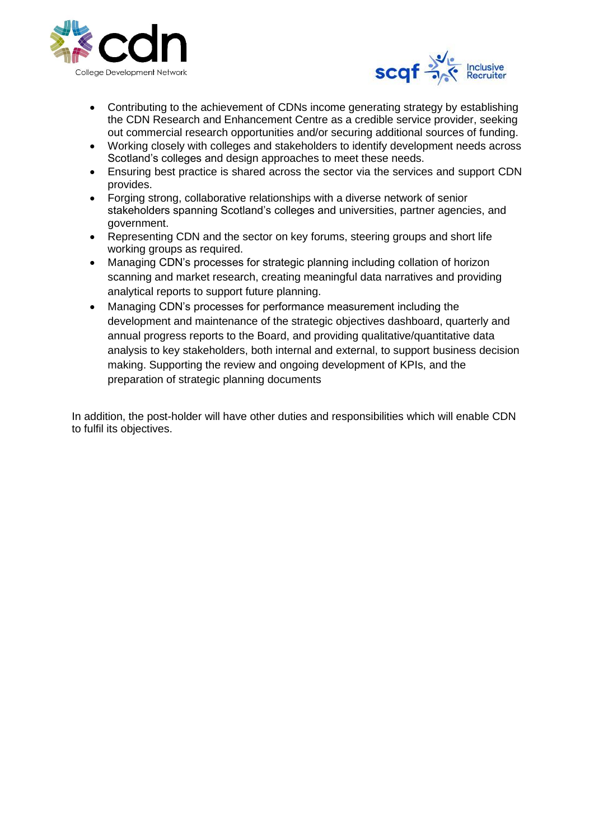



- Contributing to the achievement of CDNs income generating strategy by establishing the CDN Research and Enhancement Centre as a credible service provider, seeking out commercial research opportunities and/or securing additional sources of funding.
- Working closely with colleges and stakeholders to identify development needs across Scotland's colleges and design approaches to meet these needs.
- Ensuring best practice is shared across the sector via the services and support CDN provides.
- Forging strong, collaborative relationships with a diverse network of senior stakeholders spanning Scotland's colleges and universities, partner agencies, and government.
- Representing CDN and the sector on key forums, steering groups and short life working groups as required.
- Managing CDN's processes for strategic planning including collation of horizon scanning and market research, creating meaningful data narratives and providing analytical reports to support future planning.
- Managing CDN's processes for performance measurement including the development and maintenance of the strategic objectives dashboard, quarterly and annual progress reports to the Board, and providing qualitative/quantitative data analysis to key stakeholders, both internal and external, to support business decision making. Supporting the review and ongoing development of KPIs, and the preparation of strategic planning documents

In addition, the post-holder will have other duties and responsibilities which will enable CDN to fulfil its objectives.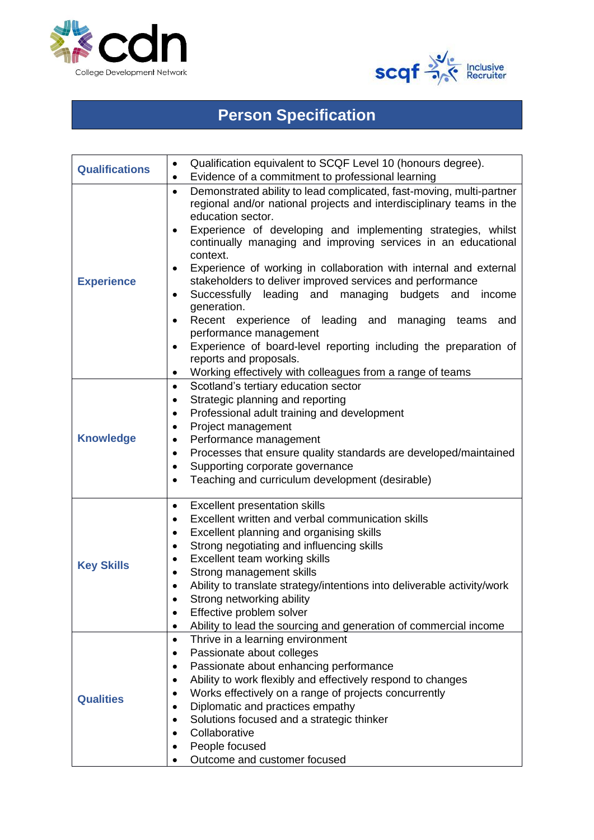



## **Person Specification**

| <b>Qualifications</b> | Qualification equivalent to SCQF Level 10 (honours degree).<br>٠<br>Evidence of a commitment to professional learning<br>٠                                                                                                                                                                                                                                                                                                                                                                                                                                                                                                                                                                                                                                               |
|-----------------------|--------------------------------------------------------------------------------------------------------------------------------------------------------------------------------------------------------------------------------------------------------------------------------------------------------------------------------------------------------------------------------------------------------------------------------------------------------------------------------------------------------------------------------------------------------------------------------------------------------------------------------------------------------------------------------------------------------------------------------------------------------------------------|
| <b>Experience</b>     | Demonstrated ability to lead complicated, fast-moving, multi-partner<br>$\bullet$<br>regional and/or national projects and interdisciplinary teams in the<br>education sector.<br>Experience of developing and implementing strategies, whilst<br>٠<br>continually managing and improving services in an educational<br>context.<br>Experience of working in collaboration with internal and external<br>٠<br>stakeholders to deliver improved services and performance<br>Successfully<br>leading and managing budgets<br>and<br>income<br>٠<br>generation.<br>Recent experience of leading and managing teams<br>and<br>$\bullet$<br>performance management<br>Experience of board-level reporting including the preparation of<br>$\bullet$<br>reports and proposals. |
| <b>Knowledge</b>      | Working effectively with colleagues from a range of teams<br>Scotland's tertiary education sector<br>$\bullet$<br>Strategic planning and reporting<br>٠<br>Professional adult training and development<br>$\bullet$<br>Project management<br>$\bullet$<br>Performance management<br>$\bullet$<br>Processes that ensure quality standards are developed/maintained<br>$\bullet$<br>Supporting corporate governance<br>$\bullet$<br>Teaching and curriculum development (desirable)<br>$\bullet$                                                                                                                                                                                                                                                                           |
| <b>Key Skills</b>     | <b>Excellent presentation skills</b><br>$\bullet$<br>Excellent written and verbal communication skills<br>$\bullet$<br>Excellent planning and organising skills<br>٠<br>Strong negotiating and influencing skills<br>$\bullet$<br>Excellent team working skills<br>$\bullet$<br>Strong management skills<br>$\bullet$<br>Ability to translate strategy/intentions into deliverable activity/work<br>$\bullet$<br>Strong networking ability<br>Effective problem solver<br>$\bullet$<br>Ability to lead the sourcing and generation of commercial income<br>٠                                                                                                                                                                                                             |
| <b>Qualities</b>      | Thrive in a learning environment<br>٠<br>Passionate about colleges<br>٠<br>Passionate about enhancing performance<br>٠<br>Ability to work flexibly and effectively respond to changes<br>$\bullet$<br>Works effectively on a range of projects concurrently<br>٠<br>Diplomatic and practices empathy<br>٠<br>Solutions focused and a strategic thinker<br>Collaborative<br>People focused<br>Outcome and customer focused                                                                                                                                                                                                                                                                                                                                                |